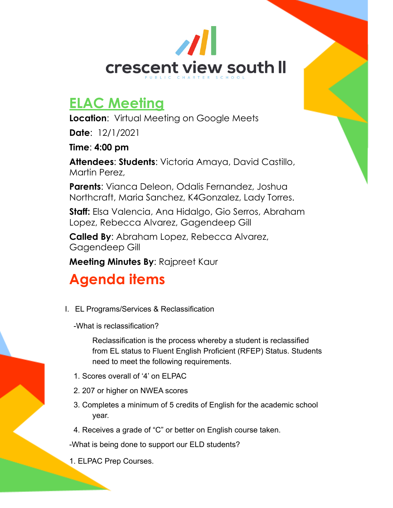

## **ELAC Meeting**

**Location**: Virtual Meeting on Google Meets

**Date**: 12/1/2021

**Time**: **4:00 pm**

**Attendees**: **Students**: Victoria Amaya, David Castillo, Martin Perez,

**Parents**: Vianca Deleon, Odalis Fernandez, Joshua Northcraft, Maria Sanchez, K4Gonzalez, Lady Torres.

**Staff:** Elsa Valencia, Ana Hidalgo, Gio Serros, Abraham Lopez, Rebecca Alvarez, Gagendeep Gill

**Called By**: Abraham Lopez, Rebecca Alvarez, Gagendeep Gill

**Meeting Minutes By**: Rajpreet Kaur

# **Agenda items**

I. EL Programs/Services & Reclassification

-What is reclassification?

Reclassification is the process whereby a student is reclassified from EL status to Fluent English Proficient (RFEP) Status. Students need to meet the following requirements.

- 1. Scores overall of '4' on ELPAC
- 2. 207 or higher on NWEA scores
- 3. Completes a minimum of 5 credits of English for the academic school year.
- 4. Receives a grade of "C" or better on English course taken.

-What is being done to support our ELD students?

1. ELPAC Prep Courses.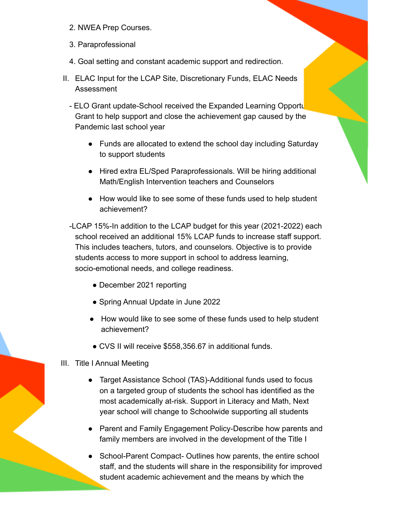- 2. NWEA Prep Courses.
- 3. Paraprofessional
- 4. Goal setting and constant academic support and redirection.
- II. ELAC Input for the LCAP Site, Discretionary Funds, ELAC Needs Assessment
	- ELO Grant update-School received the Expanded Learning Opportu Grant to help support and close the achievement gap caused by the Pandemic last school year
		- Funds are allocated to extend the school day including Saturday to support students
		- Hired extra EL/Sped Paraprofessionals. Will be hiring additional Math/English Intervention teachers and Counselors
		- How would like to see some of these funds used to help student achievement?
	- -LCAP 15%-In addition to the LCAP budget for this year (2021-2022) each school received an additional 15% LCAP funds to increase staff support. This includes teachers, tutors, and counselors. Objective is to provide students access to more support in school to address learning, socio-emotional needs, and college readiness.
		- December 2021 reporting
		- Spring Annual Update in June 2022
		- How would like to see some of these funds used to help student achievement?
		- CVS II will receive \$558,356.67 in additional funds.
- III. Title I Annual Meeting
	- Target Assistance School (TAS)-Additional funds used to focus on a targeted group of students the school has identified as the most academically at-risk. Support in Literacy and Math, Next year school will change to Schoolwide supporting all students
	- Parent and Family Engagement Policy-Describe how parents and family members are involved in the development of the Title I
	- School-Parent Compact- Outlines how parents, the entire school staff, and the students will share in the responsibility for improved student academic achievement and the means by which the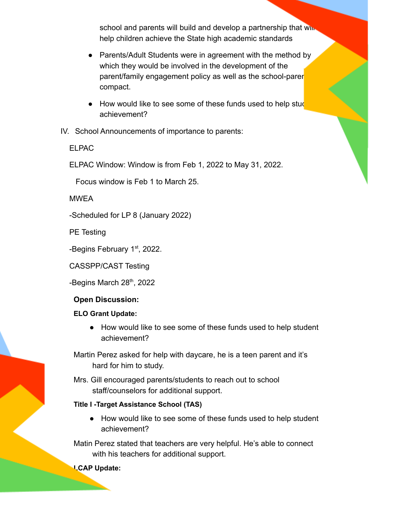school and parents will build and develop a partnership that will help children achieve the State high academic standards

- Parents/Adult Students were in agreement with the method by which they would be involved in the development of the parent/family engagement policy as well as the school-parent compact.
- How would like to see some of these funds used to help studential achievement?
- IV. School Announcements of importance to parents:

ELPAC

ELPAC Window: Window is from Feb 1, 2022 to May 31, 2022.

Focus window is Feb 1 to March 25.

**MWFA** 

-Scheduled for LP 8 (January 2022)

PE Testing

-Begins February 1<sup>st</sup>, 2022.

CASSPP/CAST Testing

-Begins March 28<sup>th</sup>, 2022

### **Open Discussion:**

### **ELO Grant Update:**

● How would like to see some of these funds used to help student achievement?

Martin Perez asked for help with daycare, he is a teen parent and it's hard for him to study.

Mrs. Gill encouraged parents/students to reach out to school staff/counselors for additional support.

### **Title I -Target Assistance School (TAS)**

● How would like to see some of these funds used to help student achievement?

Matin Perez stated that teachers are very helpful. He's able to connect with his teachers for additional support.

**LCAP Update:**